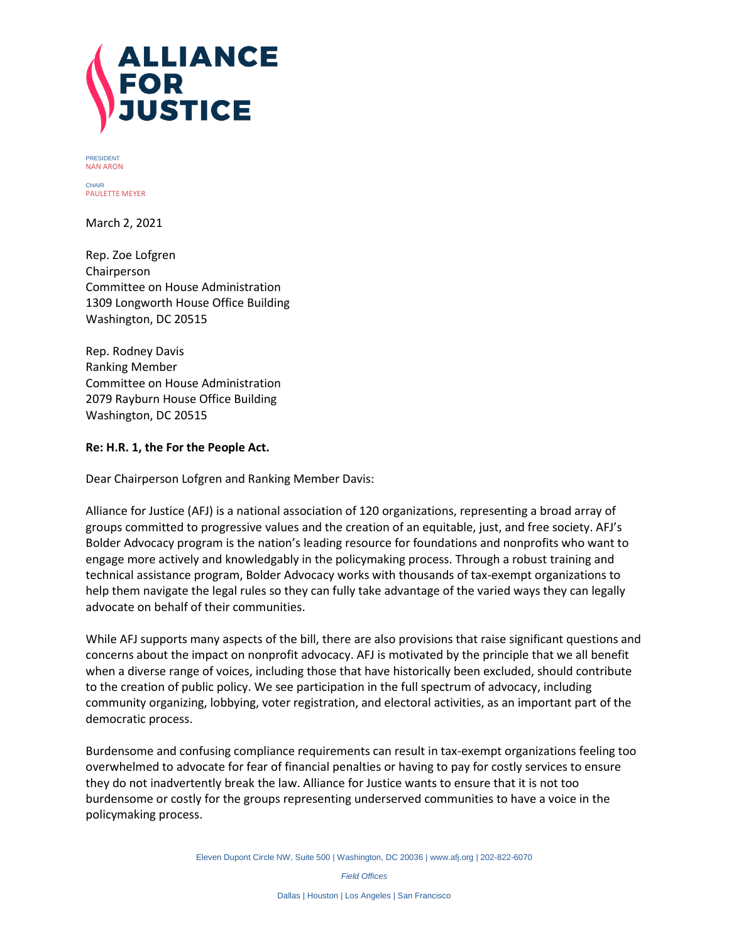

PRESIDENT NAN ARON

**CHAIR** PAULETTE MEYER

March 2, 2021

Rep. Zoe Lofgren Chairperson Committee on House Administration 1309 Longworth House Office Building Washington, DC 20515

Rep. Rodney Davis Ranking Member Committee on House Administration 2079 Rayburn House Office Building Washington, DC 20515

## **Re: H.R. 1, the For the People Act.**

Dear Chairperson Lofgren and Ranking Member Davis:

Alliance for Justice (AFJ) is a national association of 120 organizations, representing a broad array of groups committed to progressive values and the creation of an equitable, just, and free society. AFJ's Bolder Advocacy program is the nation's leading resource for foundations and nonprofits who want to engage more actively and knowledgably in the policymaking process. Through a robust training and technical assistance program, Bolder Advocacy works with thousands of tax-exempt organizations to help them navigate the legal rules so they can fully take advantage of the varied ways they can legally advocate on behalf of their communities.

While AFJ supports many aspects of the bill, there are also provisions that raise significant questions and concerns about the impact on nonprofit advocacy. AFJ is motivated by the principle that we all benefit when a diverse range of voices, including those that have historically been excluded, should contribute to the creation of public policy. We see participation in the full spectrum of advocacy, including community organizing, lobbying, voter registration, and electoral activities, as an important part of the democratic process.

Burdensome and confusing compliance requirements can result in tax-exempt organizations feeling too overwhelmed to advocate for fear of financial penalties or having to pay for costly services to ensure they do not inadvertently break the law. Alliance for Justice wants to ensure that it is not too burdensome or costly for the groups representing underserved communities to have a voice in the policymaking process.

Eleven Dupont Circle NW, Suite 500 | Washington, DC 20036 [| www.afj.org](http://www.afj.org/) | 202-822-6070

*Field Offices*

Dallas | Houston | Los Angeles | San Francisco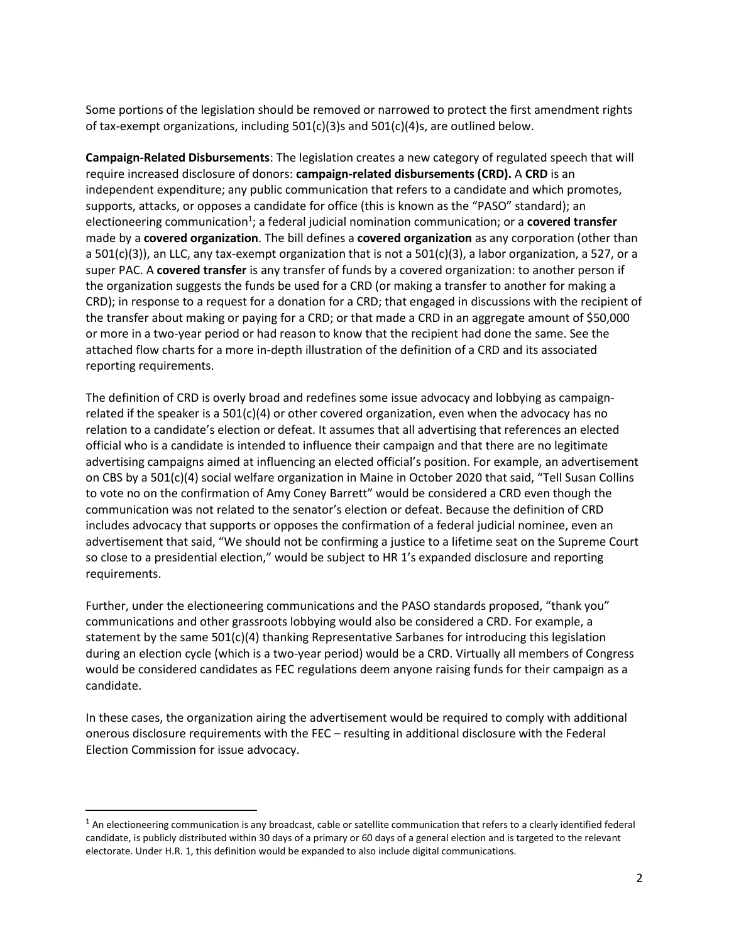Some portions of the legislation should be removed or narrowed to protect the first amendment rights of tax-exempt organizations, including  $501(c)(3)$ s and  $501(c)(4)$ s, are outlined below.

**Campaign-Related Disbursements**: The legislation creates a new category of regulated speech that will require increased disclosure of donors: **campaign-related disbursements (CRD).** A **CRD** is an independent expenditure; any public communication that refers to a candidate and which promotes, supports, attacks, or opposes a candidate for office (this is known as the "PASO" standard); an electioneering communication<sup>1</sup>; a federal judicial nomination communication; or a **covered transfer** made by a **covered organization**. The bill defines a **covered organization** as any corporation (other than a 501(c)(3)), an LLC, any tax-exempt organization that is not a 501(c)(3), a labor organization, a 527, or a super PAC. A **covered transfer** is any transfer of funds by a covered organization: to another person if the organization suggests the funds be used for a CRD (or making a transfer to another for making a CRD); in response to a request for a donation for a CRD; that engaged in discussions with the recipient of the transfer about making or paying for a CRD; or that made a CRD in an aggregate amount of \$50,000 or more in a two-year period or had reason to know that the recipient had done the same. See the attached flow charts for a more in-depth illustration of the definition of a CRD and its associated reporting requirements.

The definition of CRD is overly broad and redefines some issue advocacy and lobbying as campaignrelated if the speaker is a  $501(c)(4)$  or other covered organization, even when the advocacy has no relation to a candidate's election or defeat. It assumes that all advertising that references an elected official who is a candidate is intended to influence their campaign and that there are no legitimate advertising campaigns aimed at influencing an elected official's position. For example, an advertisement on CBS by a 501(c)(4) social welfare organization in Maine in October 2020 that said, "Tell Susan Collins to vote no on the confirmation of Amy Coney Barrett" would be considered a CRD even though the communication was not related to the senator's election or defeat. Because the definition of CRD includes advocacy that supports or opposes the confirmation of a federal judicial nominee, even an advertisement that said, "We should not be confirming a justice to a lifetime seat on the Supreme Court so close to a presidential election," would be subject to HR 1's expanded disclosure and reporting requirements.

Further, under the electioneering communications and the PASO standards proposed, "thank you" communications and other grassroots lobbying would also be considered a CRD. For example, a statement by the same 501(c)(4) thanking Representative Sarbanes for introducing this legislation during an election cycle (which is a two-year period) would be a CRD. Virtually all members of Congress would be considered candidates as FEC regulations deem anyone raising funds for their campaign as a candidate.

In these cases, the organization airing the advertisement would be required to comply with additional onerous disclosure requirements with the FEC – resulting in additional disclosure with the Federal Election Commission for issue advocacy.

 $\overline{\phantom{a}}$ 

 $<sup>1</sup>$  An electioneering communication is any broadcast, cable or satellite communication that refers to a clearly identified federal</sup> candidate, is publicly distributed within 30 days of a primary or 60 days of a general election and is targeted to the relevant electorate. Under H.R. 1, this definition would be expanded to also include digital communications.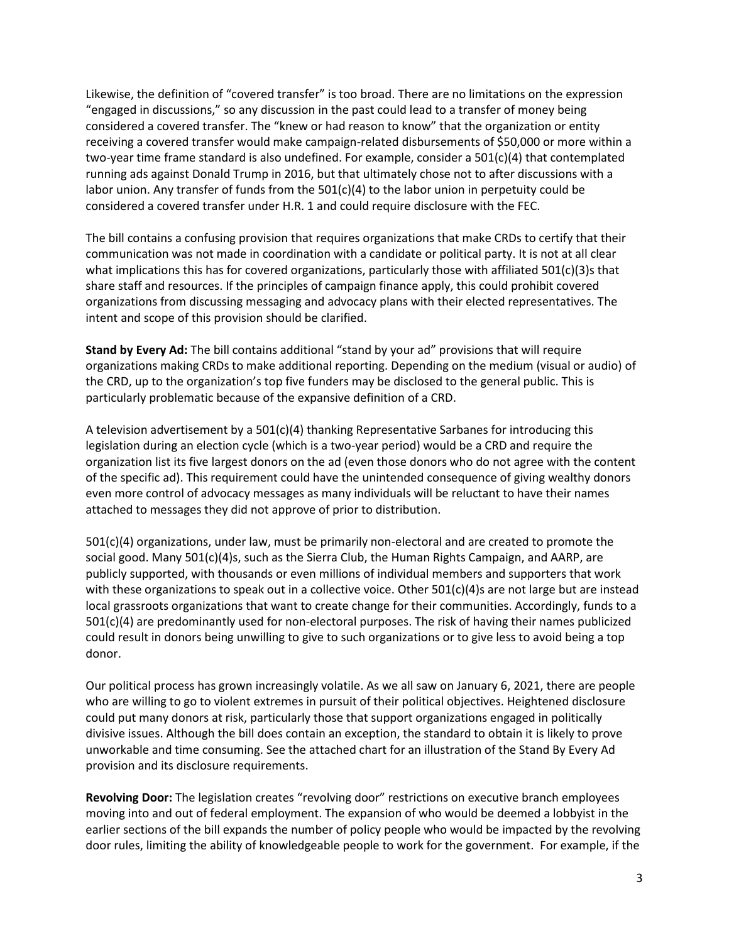Likewise, the definition of "covered transfer" is too broad. There are no limitations on the expression "engaged in discussions," so any discussion in the past could lead to a transfer of money being considered a covered transfer. The "knew or had reason to know" that the organization or entity receiving a covered transfer would make campaign-related disbursements of \$50,000 or more within a two-year time frame standard is also undefined. For example, consider a 501(c)(4) that contemplated running ads against Donald Trump in 2016, but that ultimately chose not to after discussions with a labor union. Any transfer of funds from the  $501(c)(4)$  to the labor union in perpetuity could be considered a covered transfer under H.R. 1 and could require disclosure with the FEC.

The bill contains a confusing provision that requires organizations that make CRDs to certify that their communication was not made in coordination with a candidate or political party. It is not at all clear what implications this has for covered organizations, particularly those with affiliated 501(c)(3)s that share staff and resources. If the principles of campaign finance apply, this could prohibit covered organizations from discussing messaging and advocacy plans with their elected representatives. The intent and scope of this provision should be clarified.

**Stand by Every Ad:** The bill contains additional "stand by your ad" provisions that will require organizations making CRDs to make additional reporting. Depending on the medium (visual or audio) of the CRD, up to the organization's top five funders may be disclosed to the general public. This is particularly problematic because of the expansive definition of a CRD.

A television advertisement by a  $501(c)(4)$  thanking Representative Sarbanes for introducing this legislation during an election cycle (which is a two-year period) would be a CRD and require the organization list its five largest donors on the ad (even those donors who do not agree with the content of the specific ad). This requirement could have the unintended consequence of giving wealthy donors even more control of advocacy messages as many individuals will be reluctant to have their names attached to messages they did not approve of prior to distribution.

501(c)(4) organizations, under law, must be primarily non-electoral and are created to promote the social good. Many 501(c)(4)s, such as the Sierra Club, the Human Rights Campaign, and AARP, are publicly supported, with thousands or even millions of individual members and supporters that work with these organizations to speak out in a collective voice. Other 501(c)(4)s are not large but are instead local grassroots organizations that want to create change for their communities. Accordingly, funds to a 501(c)(4) are predominantly used for non-electoral purposes. The risk of having their names publicized could result in donors being unwilling to give to such organizations or to give less to avoid being a top donor.

Our political process has grown increasingly volatile. As we all saw on January 6, 2021, there are people who are willing to go to violent extremes in pursuit of their political objectives. Heightened disclosure could put many donors at risk, particularly those that support organizations engaged in politically divisive issues. Although the bill does contain an exception, the standard to obtain it is likely to prove unworkable and time consuming. See the attached chart for an illustration of the Stand By Every Ad provision and its disclosure requirements.

**Revolving Door:** The legislation creates "revolving door" restrictions on executive branch employees moving into and out of federal employment. The expansion of who would be deemed a lobbyist in the earlier sections of the bill expands the number of policy people who would be impacted by the revolving door rules, limiting the ability of knowledgeable people to work for the government. For example, if the